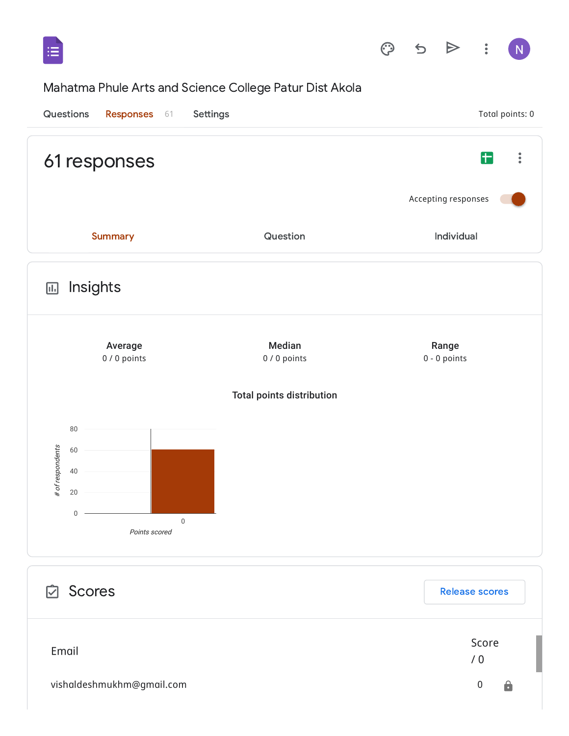

## Mahatma Phule Arts and Science College Patur Dist Akola

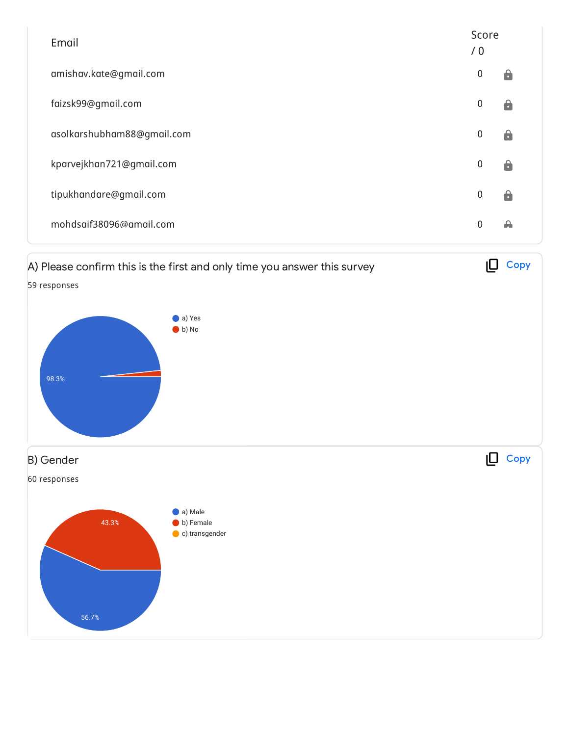| Email                      | Score<br>/0 |                    |
|----------------------------|-------------|--------------------|
| amishav.kate@gmail.com     | 0           | Α                  |
| faizsk99@gmail.com         | 0           | $\mathbf{e}$       |
| asolkarshubham88@gmail.com | 0           | $\hat{\mathbf{a}}$ |
| kparvejkhan721@gmail.com   | $\mathbf 0$ | Α                  |
| tipukhandare@gmail.com     | $\mathbf 0$ | â                  |
| mohdsaif38096@amail.com    | $\Omega$    | ₳                  |

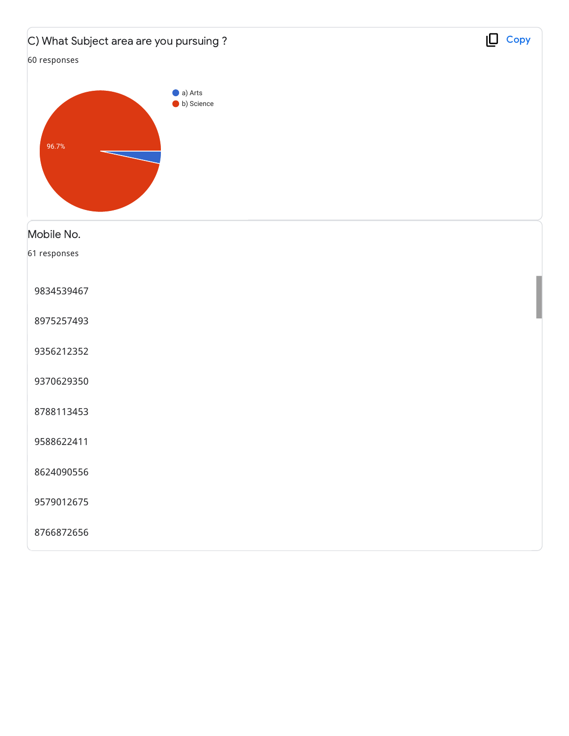| C) What Subject area are you pursuing? | $\Box$ Copy |
|----------------------------------------|-------------|
| 60 responses                           |             |
| a) Arts<br>b) Science<br>96.7%         |             |
| Mobile No.                             |             |
| 61 responses                           |             |
| 9834539467                             |             |
| 8975257493                             |             |
| 9356212352                             |             |
| 9370629350                             |             |
| 8788113453                             |             |
| 9588622411                             |             |
| 8624090556                             |             |
| 9579012675                             |             |
| 8766872656                             |             |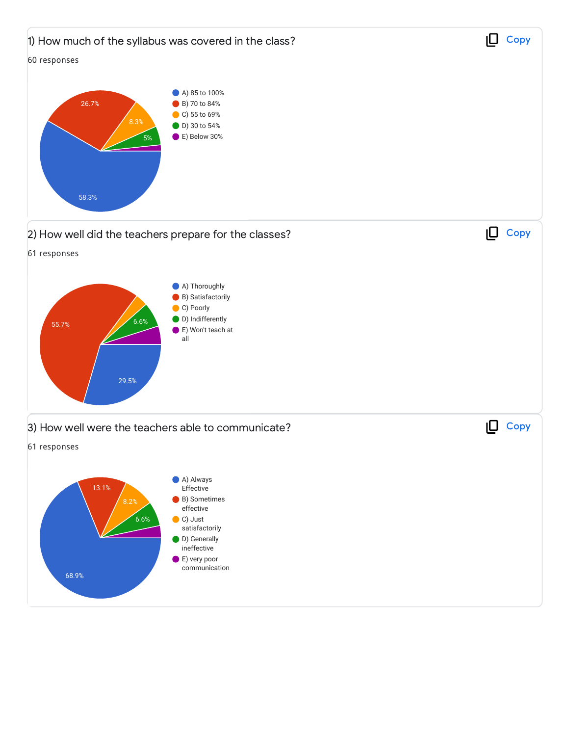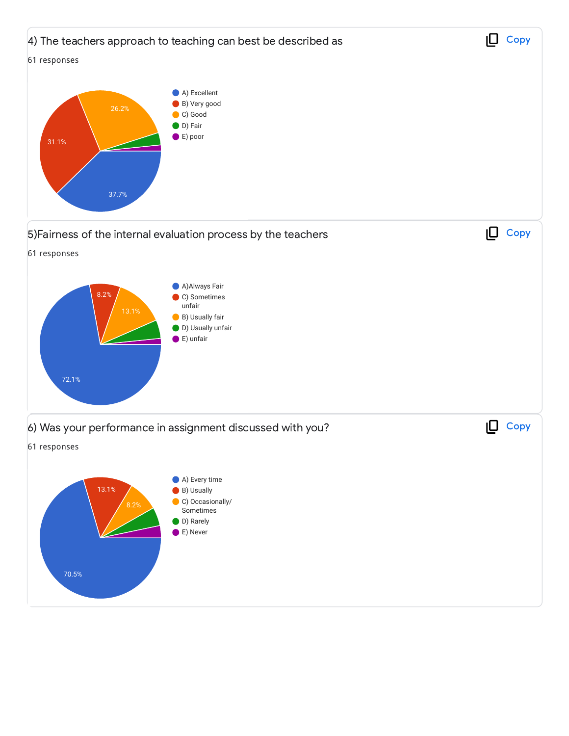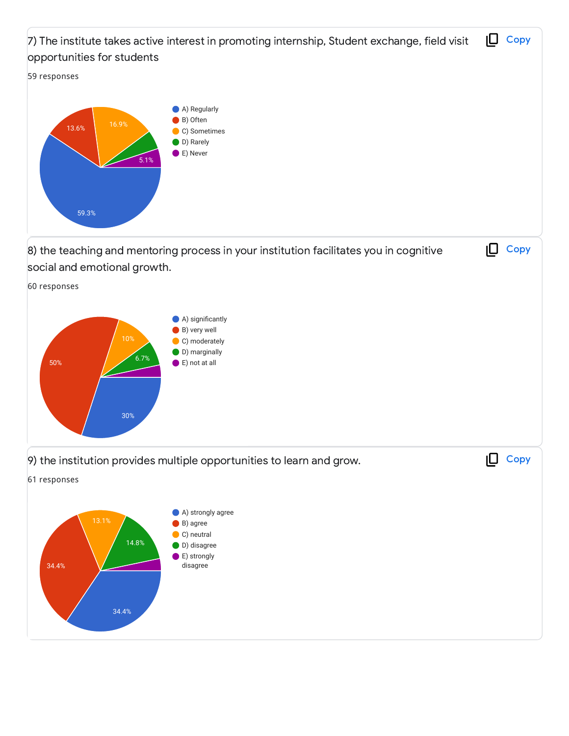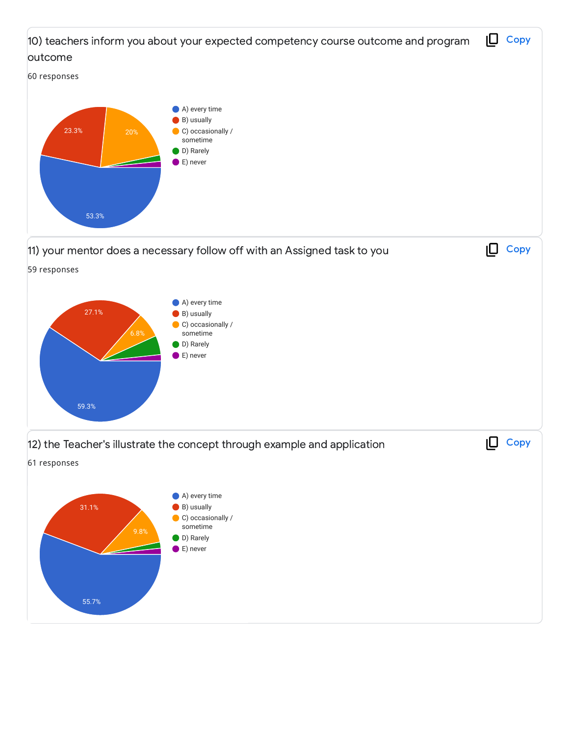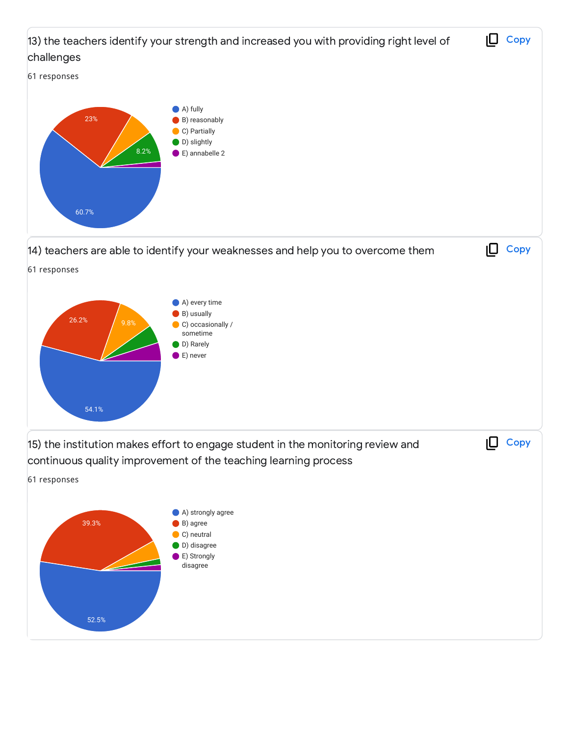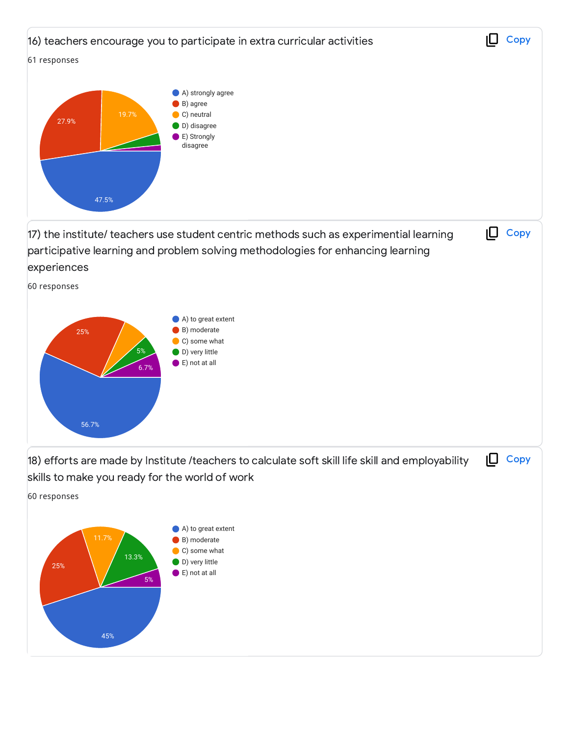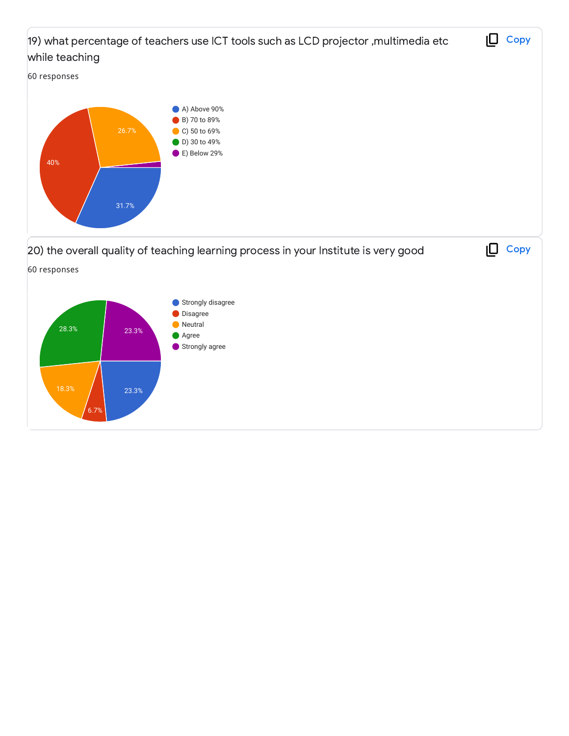

23.3%

6.7%